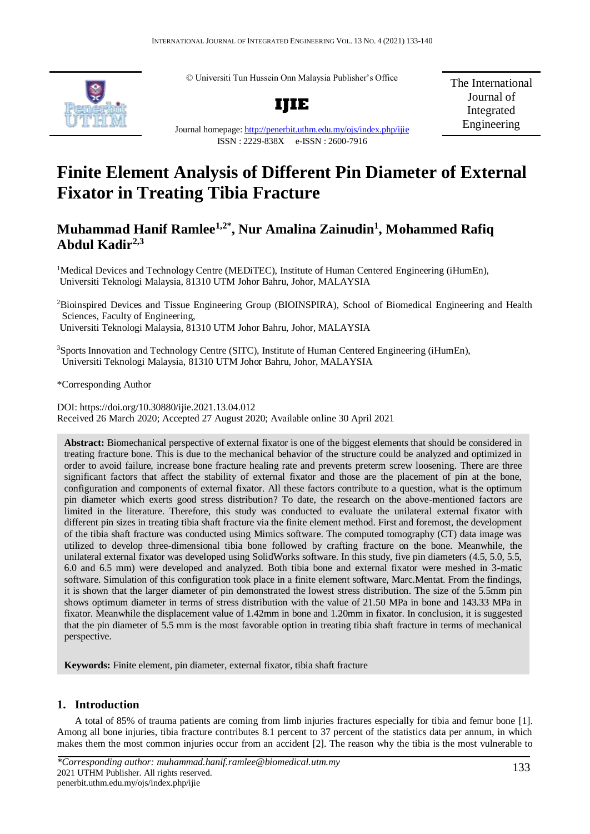© Universiti Tun Hussein Onn Malaysia Publisher's Office



The International Journal of Integrated Engineering

Journal homepage:<http://penerbit.uthm.edu.my/ojs/index.php/ijie> ISSN : 2229-838X e-ISSN : 2600-7916

# **Finite Element Analysis of Different Pin Diameter of External Fixator in Treating Tibia Fracture**

# **Muhammad Hanif Ramlee1,2\*, Nur Amalina Zainudin<sup>1</sup> , Mohammed Rafiq Abdul Kadir2,3**

<sup>1</sup>Medical Devices and Technology Centre (MEDiTEC), Institute of Human Centered Engineering (iHumEn), Universiti Teknologi Malaysia, 81310 UTM Johor Bahru, Johor, MALAYSIA

<sup>2</sup>Bioinspired Devices and Tissue Engineering Group (BIOINSPIRA), School of Biomedical Engineering and Health Sciences, Faculty of Engineering, Universiti Teknologi Malaysia, 81310 UTM Johor Bahru, Johor, MALAYSIA

<sup>3</sup>Sports Innovation and Technology Centre (SITC), Institute of Human Centered Engineering (iHumEn), Universiti Teknologi Malaysia, 81310 UTM Johor Bahru, Johor, MALAYSIA

\*Corresponding Author

DOI: https://doi.org/10.30880/ijie.2021.13.04.012 Received 26 March 2020; Accepted 27 August 2020; Available online 30 April 2021

**Abstract:** Biomechanical perspective of external fixator is one of the biggest elements that should be considered in treating fracture bone. This is due to the mechanical behavior of the structure could be analyzed and optimized in order to avoid failure, increase bone fracture healing rate and prevents preterm screw loosening. There are three significant factors that affect the stability of external fixator and those are the placement of pin at the bone, configuration and components of external fixator. All these factors contribute to a question, what is the optimum pin diameter which exerts good stress distribution? To date, the research on the above-mentioned factors are limited in the literature. Therefore, this study was conducted to evaluate the unilateral external fixator with different pin sizes in treating tibia shaft fracture via the finite element method. First and foremost, the development of the tibia shaft fracture was conducted using Mimics software. The computed tomography (CT) data image was utilized to develop three-dimensional tibia bone followed by crafting fracture on the bone. Meanwhile, the unilateral external fixator was developed using SolidWorks software. In this study, five pin diameters (4.5, 5.0, 5.5, 6.0 and 6.5 mm) were developed and analyzed. Both tibia bone and external fixator were meshed in 3-matic software. Simulation of this configuration took place in a finite element software, Marc.Mentat. From the findings, it is shown that the larger diameter of pin demonstrated the lowest stress distribution. The size of the 5.5mm pin shows optimum diameter in terms of stress distribution with the value of 21.50 MPa in bone and 143.33 MPa in fixator. Meanwhile the displacement value of 1.42mm in bone and 1.20mm in fixator. In conclusion, it is suggested that the pin diameter of 5.5 mm is the most favorable option in treating tibia shaft fracture in terms of mechanical perspective.

**Keywords:** Finite element, pin diameter, external fixator, tibia shaft fracture

## **1. Introduction**

A total of 85% of trauma patients are coming from limb injuries fractures especially for tibia and femur bone [\[1\]](#page-6-0). Among all bone injuries, tibia fracture contributes 8.1 percent to 37 percent of the statistics data per annum, in which makes them the most common injuries occur from an accident [\[2\]](#page-6-1). The reason why the tibia is the most vulnerable to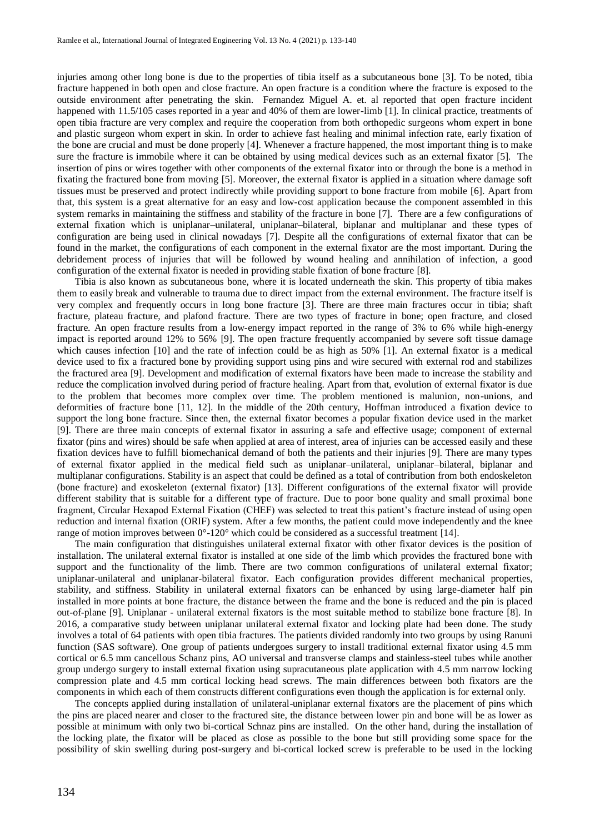injuries among other long bone is due to the properties of tibia itself as a subcutaneous bone [\[3\]](#page-6-2). To be noted, tibia fracture happened in both open and close fracture. An open fracture is a condition where the fracture is exposed to the outside environment after penetrating the skin. Fernandez Miguel A. et. al reported that open fracture incident happened with 11.5/105 cases reported in a year and 40% of them are lower-limb [\[1\]](#page-6-0). In clinical practice, treatments of open tibia fracture are very complex and require the cooperation from both orthopedic surgeons whom expert in bone and plastic surgeon whom expert in skin. In order to achieve fast healing and minimal infection rate, early fixation of the bone are crucial and must be done properly [\[4\]](#page-6-3). Whenever a fracture happened, the most important thing is to make sure the fracture is immobile where it can be obtained by using medical devices such as an external fixator [\[5\]](#page-6-4). The insertion of pins or wires together with other components of the external fixator into or through the bone is a method in fixating the fractured bone from moving [\[5\]](#page-6-4). Moreover, the external fixator is applied in a situation where damage soft tissues must be preserved and protect indirectly while providing support to bone fracture from mobile [\[6\]](#page-6-5). Apart from that, this system is a great alternative for an easy and low-cost application because the component assembled in this system remarks in maintaining the stiffness and stability of the fracture in bone [\[7\]](#page-6-6). There are a few configurations of external fixation which is uniplanar–unilateral, uniplanar–bilateral, biplanar and multiplanar and these types of configuration are being used in clinical nowadays [\[7\]](#page-6-6). Despite all the configurations of external fixator that can be found in the market, the configurations of each component in the external fixator are the most important. During the debridement process of injuries that will be followed by wound healing and annihilation of infection, a good configuration of the external fixator is needed in providing stable fixation of bone fracture [\[8\]](#page-6-7).

Tibia is also known as subcutaneous bone, where it is located underneath the skin. This property of tibia makes them to easily break and vulnerable to trauma due to direct impact from the external environment. The fracture itself is very complex and frequently occurs in long bone fracture [3]. There are three main fractures occur in tibia; shaft fracture, plateau fracture, and plafond fracture. There are two types of fracture in bone; open fracture, and closed fracture. An open fracture results from a low-energy impact reported in the range of 3% to 6% while high-energy impact is reported around 12% to 56% [\[9\]](#page-6-8). The open fracture frequently accompanied by severe soft tissue damage which causes infection [\[10\]](#page-6-9) and the rate of infection could be as high as 50% [1]. An external fixator is a medical device used to fix a fractured bone by providing support using pins and wire secured with external rod and stabilizes the fractured area [9]. Development and modification of external fixators have been made to increase the stability and reduce the complication involved during period of fracture healing. Apart from that, evolution of external fixator is due to the problem that becomes more complex over time. The problem mentioned is malunion, non-unions, and deformities of fracture bone [\[11,](#page-6-10) [12\]](#page-6-11). In the middle of the 20th century, Hoffman introduced a fixation device to support the long bone fracture. Since then, the external fixator becomes a popular fixation device used in the market [\[9\]](#page-6-8). There are three main concepts of external fixator in assuring a safe and effective usage; component of external fixator (pins and wires) should be safe when applied at area of interest, area of injuries can be accessed easily and these fixation devices have to fulfill biomechanical demand of both the patients and their injuries [9]. There are many types of external fixator applied in the medical field such as uniplanar–unilateral, uniplanar–bilateral, biplanar and multiplanar configurations. Stability is an aspect that could be defined as a total of contribution from both endoskeleton (bone fracture) and exoskeleton (external fixator) [\[13\]](#page-6-12). Different configurations of the external fixator will provide different stability that is suitable for a different type of fracture. Due to poor bone quality and small proximal bone fragment, Circular Hexapod External Fixation (CHEF) was selected to treat this patient's fracture instead of using open reduction and internal fixation (ORIF) system. After a few months, the patient could move independently and the knee range of motion improves between 0°-120° which could be considered as a successful treatment [\[14\]](#page-6-13).

The main configuration that distinguishes unilateral external fixator with other fixator devices is the position of installation. The unilateral external fixator is installed at one side of the limb which provides the fractured bone with support and the functionality of the limb. There are two common configurations of unilateral external fixator; uniplanar-unilateral and uniplanar-bilateral fixator. Each configuration provides different mechanical properties, stability, and stiffness. Stability in unilateral external fixators can be enhanced by using large-diameter half pin installed in more points at bone fracture, the distance between the frame and the bone is reduced and the pin is placed out-of-plane [9]. Uniplanar - unilateral external fixators is the most suitable method to stabilize bone fracture [8]. In 2016, a comparative study between uniplanar unilateral external fixator and locking plate had been done. The study involves a total of 64 patients with open tibia fractures. The patients divided randomly into two groups by using Ranuni function (SAS software). One group of patients undergoes surgery to install traditional external fixator using 4.5 mm cortical or 6.5 mm cancellous Schanz pins, AO universal and transverse clamps and stainless-steel tubes while another group undergo surgery to install external fixation using supracutaneous plate application with 4.5 mm narrow locking compression plate and 4.5 mm cortical locking head screws. The main differences between both fixators are the components in which each of them constructs different configurations even though the application is for external only.

The concepts applied during installation of unilateral-uniplanar external fixators are the placement of pins which the pins are placed nearer and closer to the fractured site, the distance between lower pin and bone will be as lower as possible at minimum with only two bi-cortical Schnaz pins are installed. On the other hand, during the installation of the locking plate, the fixator will be placed as close as possible to the bone but still providing some space for the possibility of skin swelling during post-surgery and bi-cortical locked screw is preferable to be used in the locking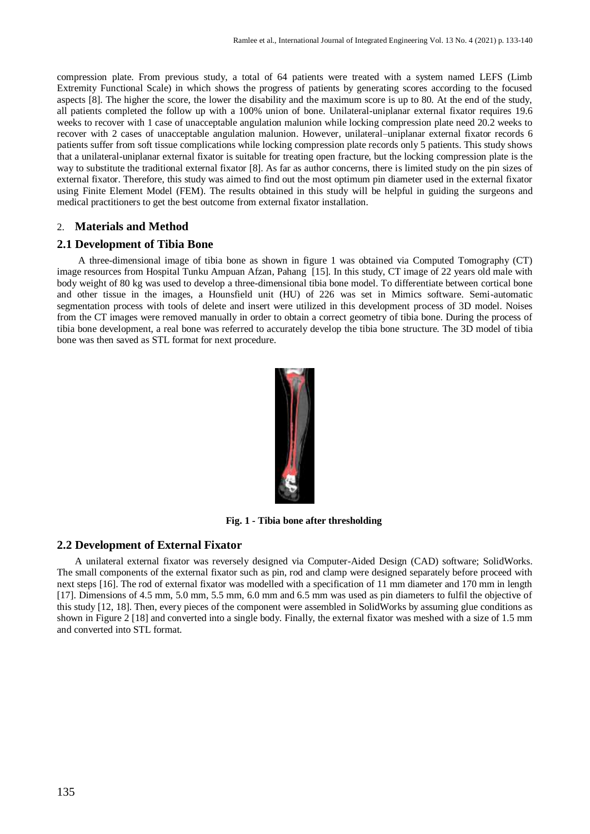compression plate. From previous study, a total of 64 patients were treated with a system named LEFS (Limb Extremity Functional Scale) in which shows the progress of patients by generating scores according to the focused aspects [8]. The higher the score, the lower the disability and the maximum score is up to 80. At the end of the study, all patients completed the follow up with a 100% union of bone. Unilateral-uniplanar external fixator requires 19.6 weeks to recover with 1 case of unacceptable angulation malunion while locking compression plate need 20.2 weeks to recover with 2 cases of unacceptable angulation malunion. However, unilateral–uniplanar external fixator records 6 patients suffer from soft tissue complications while locking compression plate records only 5 patients. This study shows that a unilateral-uniplanar external fixator is suitable for treating open fracture, but the locking compression plate is the way to substitute the traditional external fixator [8]. As far as author concerns, there is limited study on the pin sizes of external fixator. Therefore, this study was aimed to find out the most optimum pin diameter used in the external fixator using Finite Element Model (FEM). The results obtained in this study will be helpful in guiding the surgeons and medical practitioners to get the best outcome from external fixator installation.

# 2. **Materials and Method**

# **2.1 Development of Tibia Bone**

A three-dimensional image of tibia bone as shown in figure 1 was obtained via Computed Tomography (CT) image resources from Hospital Tunku Ampuan Afzan, Pahang [\[15\]](#page-6-14). In this study, CT image of 22 years old male with body weight of 80 kg was used to develop a three-dimensional tibia bone model. To differentiate between cortical bone and other tissue in the images, a Hounsfield unit (HU) of 226 was set in Mimics software. Semi-automatic segmentation process with tools of delete and insert were utilized in this development process of 3D model. Noises from the CT images were removed manually in order to obtain a correct geometry of tibia bone. During the process of tibia bone development, a real bone was referred to accurately develop the tibia bone structure. The 3D model of tibia bone was then saved as STL format for next procedure.



**Fig. 1 - Tibia bone after thresholding**

## **2.2 Development of External Fixator**

A unilateral external fixator was reversely designed via Computer-Aided Design (CAD) software; SolidWorks. The small components of the external fixator such as pin, rod and clamp were designed separately before proceed with next steps [\[16\]](#page-6-15). The rod of external fixator was modelled with a specification of 11 mm diameter and 170 mm in length [\[17\]](#page-6-16). Dimensions of 4.5 mm, 5.0 mm, 5.5 mm, 6.0 mm and 6.5 mm was used as pin diameters to fulfil the objective of this study [\[12,](#page-6-11) [18\]](#page-7-0). Then, every pieces of the component were assembled in SolidWorks by assuming glue conditions as shown in Figure 2 [\[18\]](#page-7-0) and converted into a single body. Finally, the external fixator was meshed with a size of 1.5 mm and converted into STL format.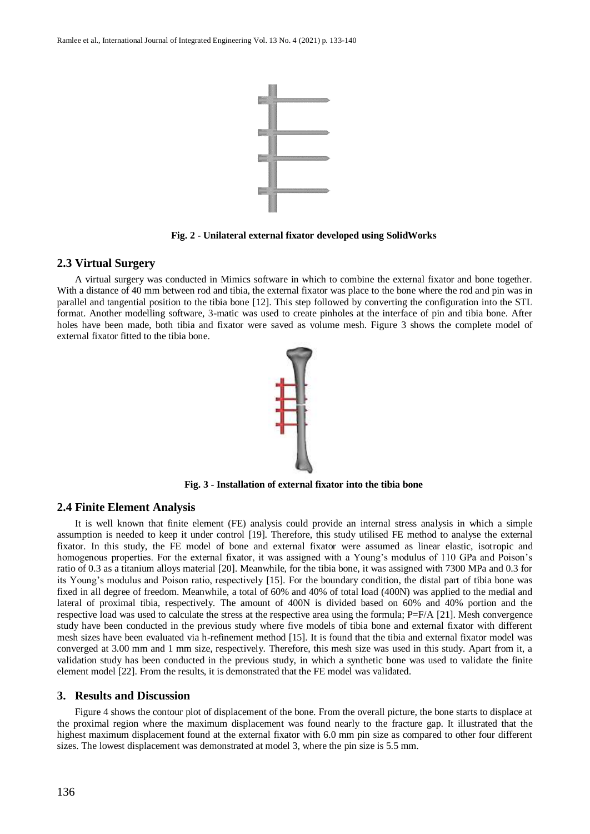

**Fig. 2 - Unilateral external fixator developed using SolidWorks**

#### **2.3 Virtual Surgery**

A virtual surgery was conducted in Mimics software in which to combine the external fixator and bone together. With a distance of 40 mm between rod and tibia, the external fixator was place to the bone where the rod and pin was in parallel and tangential position to the tibia bone [\[12\]](#page-6-11). This step followed by converting the configuration into the STL format. Another modelling software, 3-matic was used to create pinholes at the interface of pin and tibia bone. After holes have been made, both tibia and fixator were saved as volume mesh. Figure 3 shows the complete model of external fixator fitted to the tibia bone.



**Fig. 3 - Installation of external fixator into the tibia bone**

#### **2.4 Finite Element Analysis**

It is well known that finite element (FE) analysis could provide an internal stress analysis in which a simple assumption is needed to keep it under control [\[19\]](#page-7-1). Therefore, this study utilised FE method to analyse the external fixator. In this study, the FE model of bone and external fixator were assumed as linear elastic, isotropic and homogenous properties. For the external fixator, it was assigned with a Young's modulus of 110 GPa and Poison's ratio of 0.3 as a titanium alloys material [\[20\]](#page-7-2). Meanwhile, for the tibia bone, it was assigned with 7300 MPa and 0.3 for its Young's modulus and Poison ratio, respectively [\[15\]](#page-6-14). For the boundary condition, the distal part of tibia bone was fixed in all degree of freedom. Meanwhile, a total of 60% and 40% of total load (400N) was applied to the medial and lateral of proximal tibia, respectively. The amount of 400N is divided based on 60% and 40% portion and the respective load was used to calculate the stress at the respective area using the formula; P=F/A [\[21\]](#page-7-3). Mesh convergence study have been conducted in the previous study where five models of tibia bone and external fixator with different mesh sizes have been evaluated via h-refinement method [\[15\]](#page-6-14). It is found that the tibia and external fixator model was converged at 3.00 mm and 1 mm size, respectively. Therefore, this mesh size was used in this study. Apart from it, a validation study has been conducted in the previous study, in which a synthetic bone was used to validate the finite element model [\[22\]](#page-7-4). From the results, it is demonstrated that the FE model was validated.

#### **3. Results and Discussion**

Figure 4 shows the contour plot of displacement of the bone. From the overall picture, the bone starts to displace at the proximal region where the maximum displacement was found nearly to the fracture gap. It illustrated that the highest maximum displacement found at the external fixator with 6.0 mm pin size as compared to other four different sizes. The lowest displacement was demonstrated at model 3, where the pin size is 5.5 mm.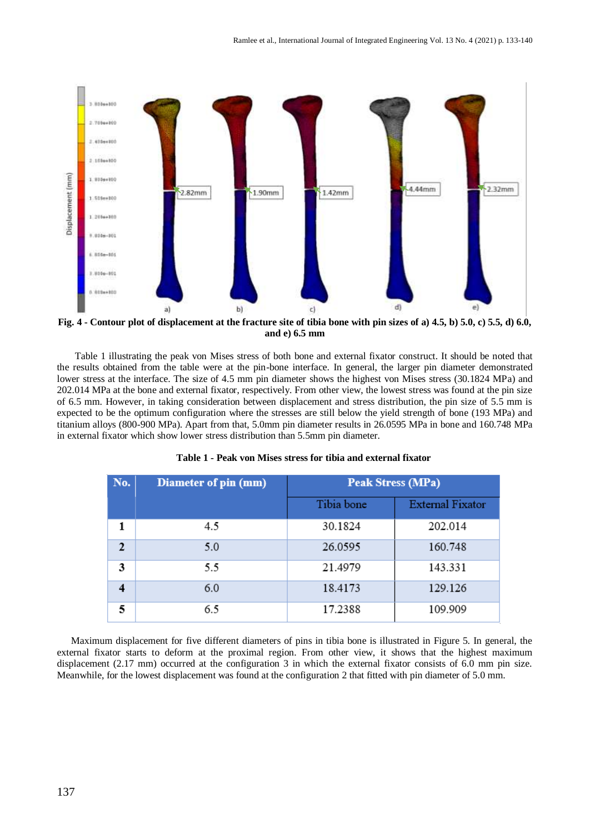

**Fig. 4 - Contour plot of displacement at the fracture site of tibia bone with pin sizes of a) 4.5, b) 5.0, c) 5.5, d) 6.0, and e) 6.5 mm**

Table 1 illustrating the peak von Mises stress of both bone and external fixator construct. It should be noted that the results obtained from the table were at the pin-bone interface. In general, the larger pin diameter demonstrated lower stress at the interface. The size of 4.5 mm pin diameter shows the highest von Mises stress (30.1824 MPa) and 202.014 MPa at the bone and external fixator, respectively. From other view, the lowest stress was found at the pin size of 6.5 mm. However, in taking consideration between displacement and stress distribution, the pin size of 5.5 mm is expected to be the optimum configuration where the stresses are still below the yield strength of bone (193 MPa) and titanium alloys (800-900 MPa). Apart from that, 5.0mm pin diameter results in 26.0595 MPa in bone and 160.748 MPa in external fixator which show lower stress distribution than 5.5mm pin diameter.

| No.                     | Diameter of pin (mm) | Peak Stress (MPa) |                         |
|-------------------------|----------------------|-------------------|-------------------------|
|                         |                      | Tibia bone        | <b>External Fixator</b> |
| 1                       | 4.5                  | 30.1824           | 202.014                 |
| $\mathbf{2}$            | 5.0                  | 26.0595           | 160.748                 |
| 3                       | 5.5                  | 21.4979           | 143.331                 |
| $\overline{\mathbf{4}}$ | 6.0                  | 18.4173           | 129.126                 |
| 5                       | 6.5                  | 17.2388           | 109.909                 |

**Table 1 - Peak von Mises stress for tibia and external fixator**

Maximum displacement for five different diameters of pins in tibia bone is illustrated in Figure 5. In general, the external fixator starts to deform at the proximal region. From other view, it shows that the highest maximum displacement (2.17 mm) occurred at the configuration 3 in which the external fixator consists of 6.0 mm pin size. Meanwhile, for the lowest displacement was found at the configuration 2 that fitted with pin diameter of 5.0 mm.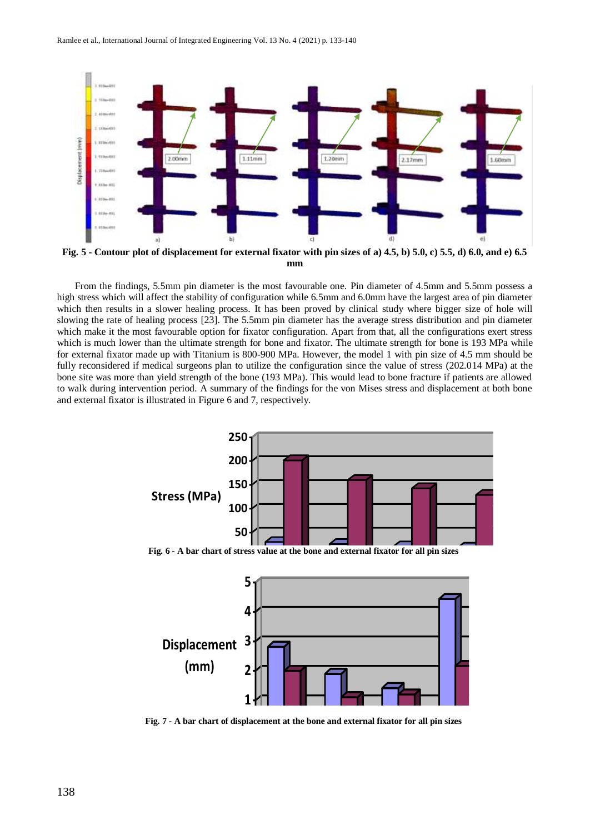

**Fig. 5 - Contour plot of displacement for external fixator with pin sizes of a) 4.5, b) 5.0, c) 5.5, d) 6.0, and e) 6.5 mm**

From the findings, 5.5mm pin diameter is the most favourable one. Pin diameter of 4.5mm and 5.5mm possess a high stress which will affect the stability of configuration while 6.5mm and 6.0mm have the largest area of pin diameter which then results in a slower healing process. It has been proved by clinical study where bigger size of hole will slowing the rate of healing process [\[23\]](#page-7-5). The 5.5mm pin diameter has the average stress distribution and pin diameter which make it the most favourable option for fixator configuration. Apart from that, all the configurations exert stress which is much lower than the ultimate strength for bone and fixator. The ultimate strength for bone is 193 MPa while for external fixator made up with Titanium is 800-900 MPa. However, the model 1 with pin size of 4.5 mm should be fully reconsidered if medical surgeons plan to utilize the configuration since the value of stress (202.014 MPa) at the bone site was more than yield strength of the bone (193 MPa). This would lead to bone fracture if patients are allowed to walk during intervention period. A summary of the findings for the von Mises stress and displacement at both bone and external fixator is illustrated in Figure 6 and 7, respectively.



**0 Fig. 6 - A bar chart of stress value at the bone and external fixator for all pin sizes**



**0 Fig. 7 - A bar chart of displacement at the bone and external fixator for all pin sizes**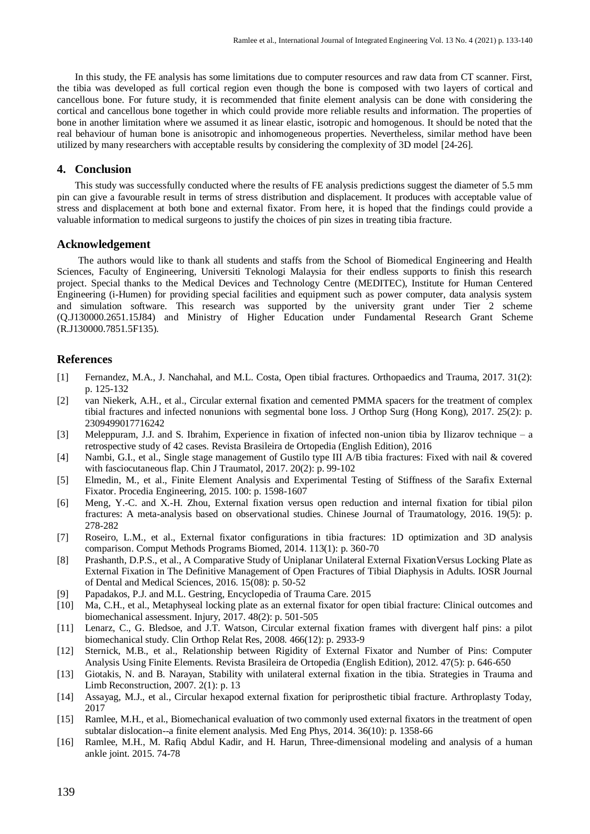In this study, the FE analysis has some limitations due to computer resources and raw data from CT scanner. First, the tibia was developed as full cortical region even though the bone is composed with two layers of cortical and cancellous bone. For future study, it is recommended that finite element analysis can be done with considering the cortical and cancellous bone together in which could provide more reliable results and information. The properties of bone in another limitation where we assumed it as linear elastic, isotropic and homogenous. It should be noted that the real behaviour of human bone is anisotropic and inhomogeneous properties. Nevertheless, similar method have been utilized by many researchers with acceptable results by considering the complexity of 3D model [\[24-26\]](#page-7-6).

#### **4. Conclusion**

This study was successfully conducted where the results of FE analysis predictions suggest the diameter of 5.5 mm pin can give a favourable result in terms of stress distribution and displacement. It produces with acceptable value of stress and displacement at both bone and external fixator. From here, it is hoped that the findings could provide a valuable information to medical surgeons to justify the choices of pin sizes in treating tibia fracture.

#### **Acknowledgement**

The authors would like to thank all students and staffs from the School of Biomedical Engineering and Health Sciences, Faculty of Engineering, Universiti Teknologi Malaysia for their endless supports to finish this research project. Special thanks to the Medical Devices and Technology Centre (MEDITEC), Institute for Human Centered Engineering (i-Humen) for providing special facilities and equipment such as power computer, data analysis system and simulation software. This research was supported by the university grant under Tier 2 scheme (Q.J130000.2651.15J84) and Ministry of Higher Education under Fundamental Research Grant Scheme (R.J130000.7851.5F135).

#### **References**

- <span id="page-6-1"></span><span id="page-6-0"></span>[1] Fernandez, M.A., J. Nanchahal, and M.L. Costa, Open tibial fractures. Orthopaedics and Trauma, 2017. 31(2): p. 125-132
- [2] van Niekerk, A.H., et al., Circular external fixation and cemented PMMA spacers for the treatment of complex tibial fractures and infected nonunions with segmental bone loss. J Orthop Surg (Hong Kong), 2017. 25(2): p. 2309499017716242
- <span id="page-6-3"></span><span id="page-6-2"></span>[3] Meleppuram, J.J. and S. Ibrahim, Experience in fixation of infected non-union tibia by Ilizarov technique – a retrospective study of 42 cases. Revista Brasileira de Ortopedia (English Edition), 2016
- [4] Nambi, G.I., et al., Single stage management of Gustilo type III A/B tibia fractures: Fixed with nail & covered with fasciocutaneous flap. Chin J Traumatol, 2017. 20(2): p. 99-102
- <span id="page-6-5"></span><span id="page-6-4"></span>[5] Elmedin, M., et al., Finite Element Analysis and Experimental Testing of Stiffness of the Sarafix External Fixator. Procedia Engineering, 2015. 100: p. 1598-1607
- [6] Meng, Y.-C. and X.-H. Zhou, External fixation versus open reduction and internal fixation for tibial pilon fractures: A meta-analysis based on observational studies. Chinese Journal of Traumatology, 2016. 19(5): p. 278-282
- <span id="page-6-6"></span>[7] Roseiro, L.M., et al., External fixator configurations in tibia fractures: 1D optimization and 3D analysis comparison. Comput Methods Programs Biomed, 2014. 113(1): p. 360-70
- <span id="page-6-7"></span>[8] Prashanth, D.P.S., et al., A Comparative Study of Uniplanar Unilateral External FixationVersus Locking Plate as External Fixation in The Definitive Management of Open Fractures of Tibial Diaphysis in Adults. IOSR Journal of Dental and Medical Sciences, 2016. 15(08): p. 50-52
- <span id="page-6-9"></span><span id="page-6-8"></span>[9] Papadakos, P.J. and M.L. Gestring, Encyclopedia of Trauma Care. 2015
- <span id="page-6-10"></span>[10] Ma, C.H., et al., Metaphyseal locking plate as an external fixator for open tibial fracture: Clinical outcomes and biomechanical assessment. Injury, 2017. 48(2): p. 501-505
- [11] Lenarz, C., G. Bledsoe, and J.T. Watson, Circular external fixation frames with divergent half pins: a pilot biomechanical study. Clin Orthop Relat Res, 2008. 466(12): p. 2933-9
- <span id="page-6-12"></span><span id="page-6-11"></span>[12] Sternick, M.B., et al., Relationship between Rigidity of External Fixator and Number of Pins: Computer Analysis Using Finite Elements. Revista Brasileira de Ortopedia (English Edition), 2012. 47(5): p. 646-650
- <span id="page-6-13"></span>[13] Giotakis, N. and B. Narayan, Stability with unilateral external fixation in the tibia. Strategies in Trauma and Limb Reconstruction, 2007. 2(1): p. 13
- <span id="page-6-14"></span>[14] Assayag, M.J., et al., Circular hexapod external fixation for periprosthetic tibial fracture. Arthroplasty Today, 2017
- <span id="page-6-15"></span>[15] Ramlee, M.H., et al., Biomechanical evaluation of two commonly used external fixators in the treatment of open subtalar dislocation--a finite element analysis. Med Eng Phys, 2014. 36(10): p. 1358-66
- <span id="page-6-16"></span>[16] Ramlee, M.H., M. Rafiq Abdul Kadir, and H. Harun, Three-dimensional modeling and analysis of a human ankle joint. 2015. 74-78